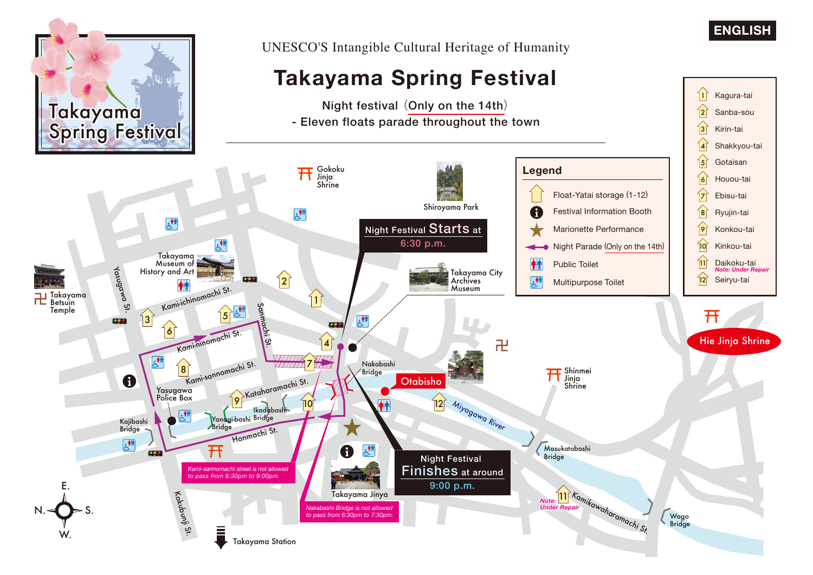